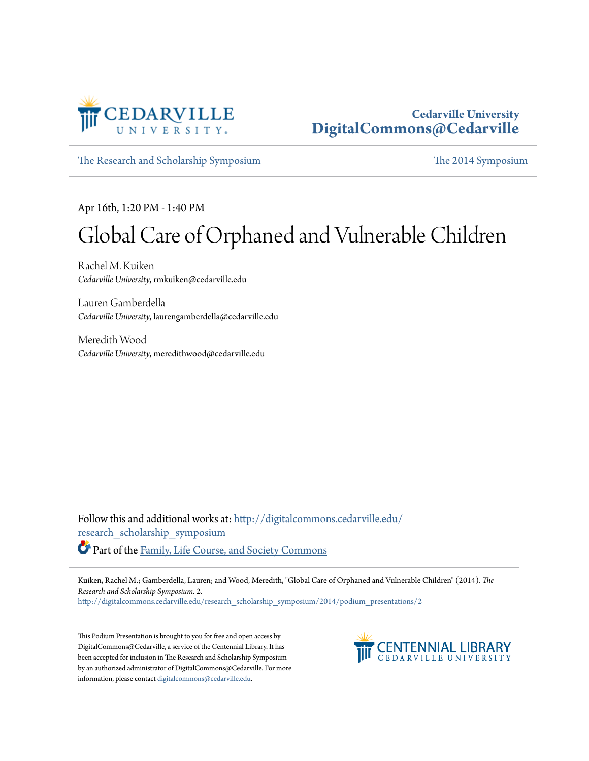

#### **Cedarville University [DigitalCommons@Cedarville](http://digitalcommons.cedarville.edu?utm_source=digitalcommons.cedarville.edu%2Fresearch_scholarship_symposium%2F2014%2Fpodium_presentations%2F2&utm_medium=PDF&utm_campaign=PDFCoverPages)**

[The Research and Scholarship Symposium](http://digitalcommons.cedarville.edu/research_scholarship_symposium?utm_source=digitalcommons.cedarville.edu%2Fresearch_scholarship_symposium%2F2014%2Fpodium_presentations%2F2&utm_medium=PDF&utm_campaign=PDFCoverPages) [The 2014 Symposium](http://digitalcommons.cedarville.edu/research_scholarship_symposium/2014?utm_source=digitalcommons.cedarville.edu%2Fresearch_scholarship_symposium%2F2014%2Fpodium_presentations%2F2&utm_medium=PDF&utm_campaign=PDFCoverPages)

Apr 16th, 1:20 PM - 1:40 PM

#### Global Care of Orphaned and Vulnerable Children

Rachel M. Kuiken *Cedarville University*, rmkuiken@cedarville.edu

Lauren Gamberdella *Cedarville University*, laurengamberdella@cedarville.edu

Meredith Wood *Cedarville University*, meredithwood@cedarville.edu

Follow this and additional works at: [http://digitalcommons.cedarville.edu/](http://digitalcommons.cedarville.edu/research_scholarship_symposium?utm_source=digitalcommons.cedarville.edu%2Fresearch_scholarship_symposium%2F2014%2Fpodium_presentations%2F2&utm_medium=PDF&utm_campaign=PDFCoverPages) [research\\_scholarship\\_symposium](http://digitalcommons.cedarville.edu/research_scholarship_symposium?utm_source=digitalcommons.cedarville.edu%2Fresearch_scholarship_symposium%2F2014%2Fpodium_presentations%2F2&utm_medium=PDF&utm_campaign=PDFCoverPages) Part of the [Family, Life Course, and Society Commons](http://network.bepress.com/hgg/discipline/419?utm_source=digitalcommons.cedarville.edu%2Fresearch_scholarship_symposium%2F2014%2Fpodium_presentations%2F2&utm_medium=PDF&utm_campaign=PDFCoverPages)

Kuiken, Rachel M.; Gamberdella, Lauren; and Wood, Meredith, "Global Care of Orphaned and Vulnerable Children" (2014). *The Research and Scholarship Symposium*. 2.

[http://digitalcommons.cedarville.edu/research\\_scholarship\\_symposium/2014/podium\\_presentations/2](http://digitalcommons.cedarville.edu/research_scholarship_symposium/2014/podium_presentations/2?utm_source=digitalcommons.cedarville.edu%2Fresearch_scholarship_symposium%2F2014%2Fpodium_presentations%2F2&utm_medium=PDF&utm_campaign=PDFCoverPages)

This Podium Presentation is brought to you for free and open access by DigitalCommons@Cedarville, a service of the Centennial Library. It has been accepted for inclusion in The Research and Scholarship Symposium by an authorized administrator of DigitalCommons@Cedarville. For more information, please contact [digitalcommons@cedarville.edu.](mailto:digitalcommons@cedarville.edu)

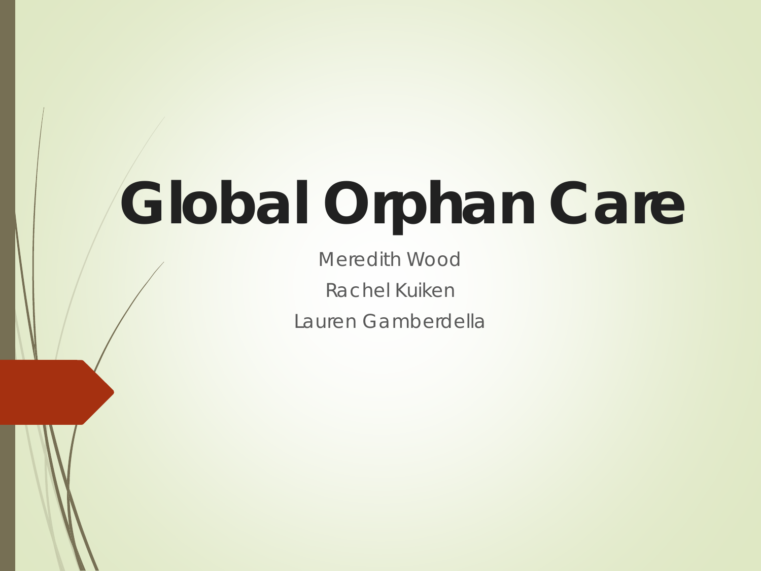# **Global Orphan Care**

Meredith Wood Rachel Kuiken Lauren Gamberdella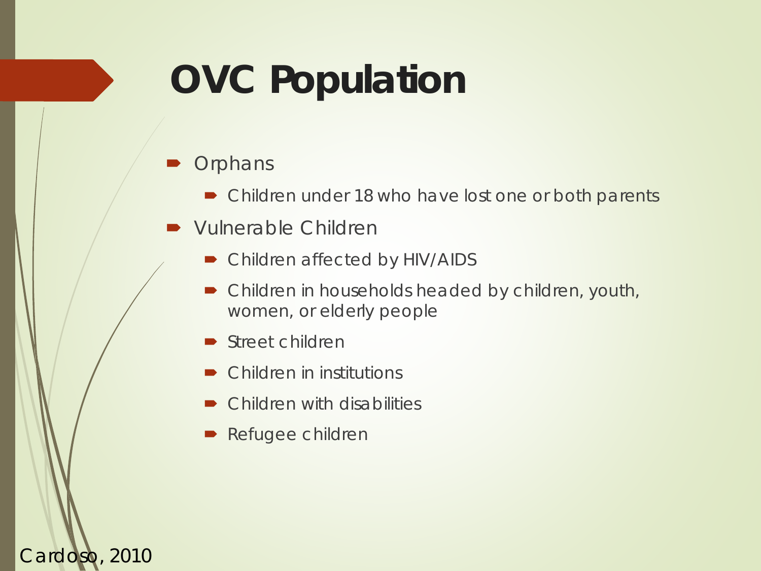## **OVC Population**

#### **Orphans**

Cardoso, 2010

- Children under 18 who have lost one or both parents
- Vulnerable Children
	- Children affected by HIV/AIDS
	- Children in households headed by children, youth, women, or elderly people
	- Street children
	- Children in institutions
	- Children with disabilities
	- Refugee children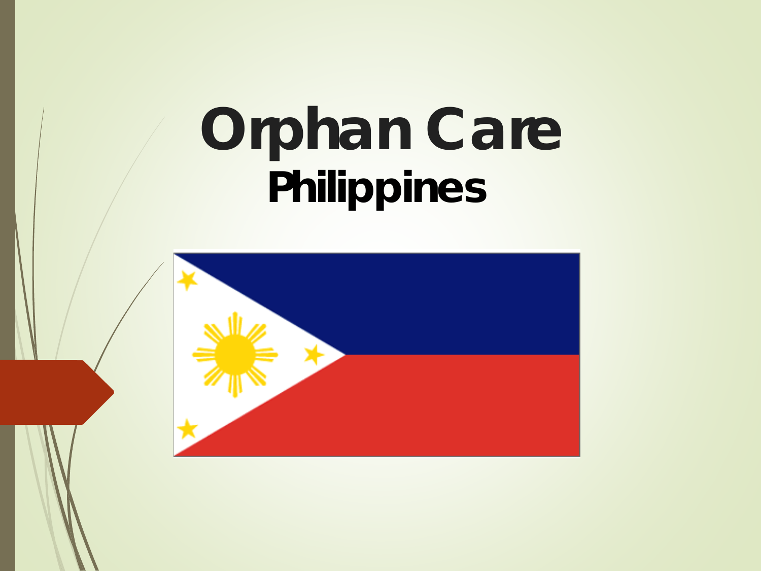# **Orphan Care Philippines**

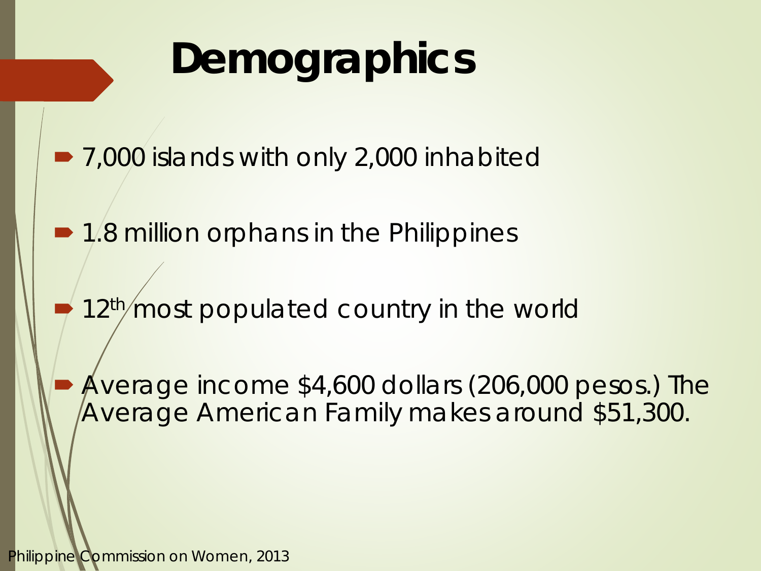## **Demographics**

- 7,000 islands with only 2,000 inhabited
- 1.8 million orphans in the Philippines
- 12<sup>th</sup>/most populated country in the world
	- Average income \$4,600 dollars (206,000 pesos.) The Average American Family makes around \$51,300.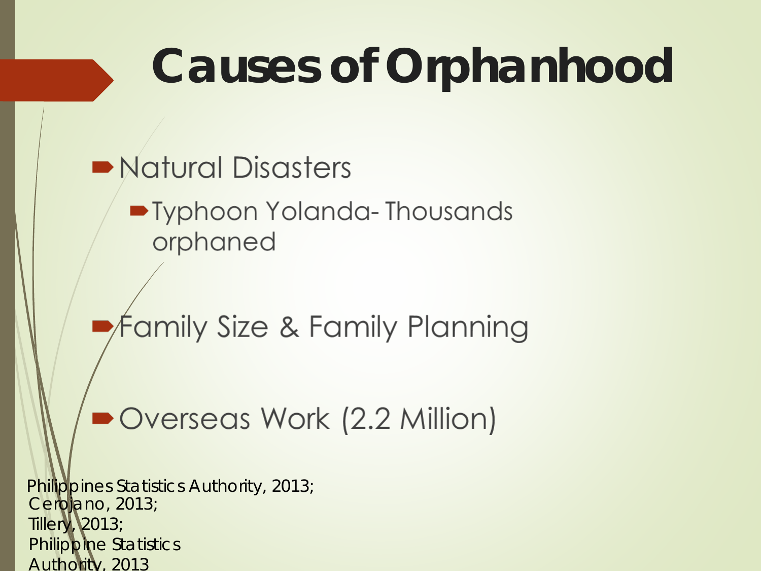# **Causes of Orphanhood**

• Natural Disasters

• Typhoon Yolanda-Thousands orphaned

Family Size & Family Planning

Overseas Work (2.2 Million)

Cerojano, 2013; Tillery, 2013; Philippine Statistics Authority, 2013 Philippines Statistics Authority, 2013;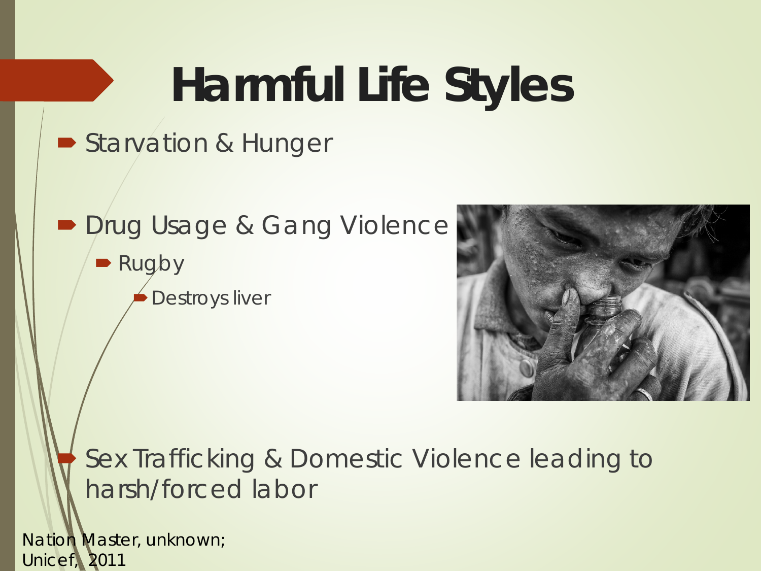# **Harmful Life Styles**

#### Starvation & Hunger

- **Drug Usage & Gang Violence** 
	- Rugby Destroys liver



#### Sex Trafficking & Domestic Violence leading to harsh/forced labor

Nation Master, unknown; Unicef, 2011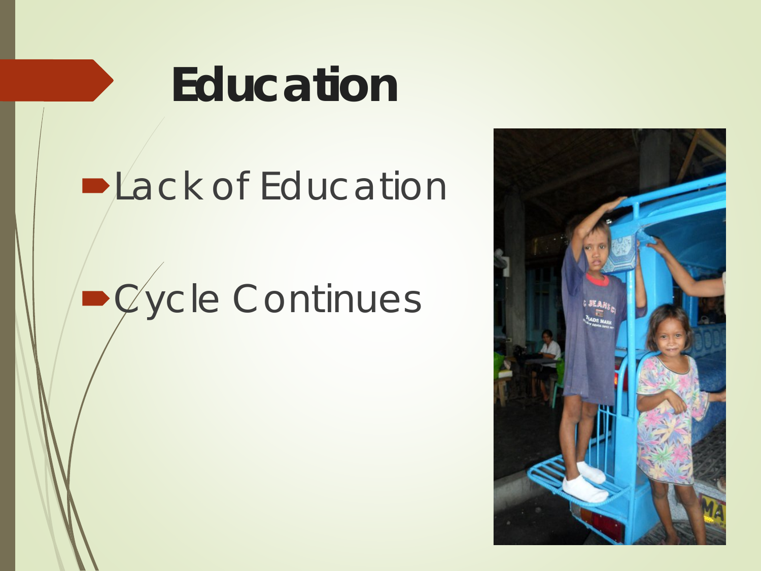# **Education**

## **DLack of Education**

# Cycle Continues

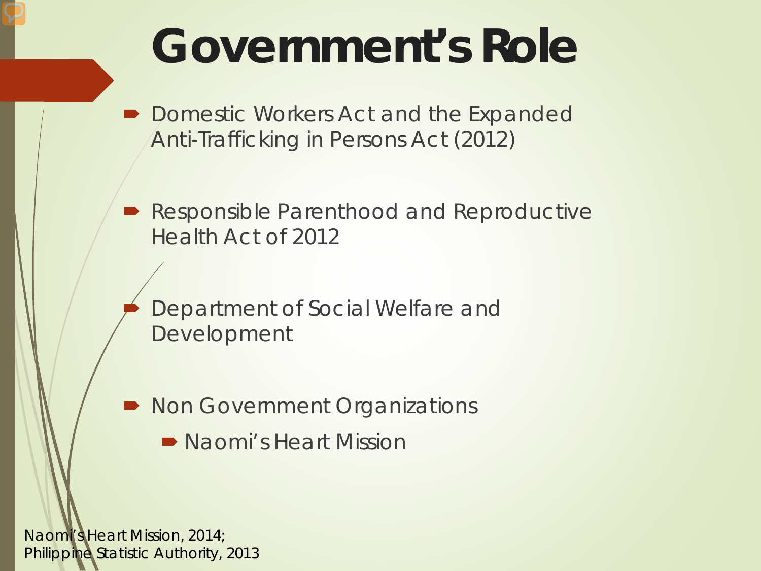# **Government's Role**

 Domestic Workers Act and the Expanded Anti-Trafficking in Persons Act (2012)

**• Responsible Parenthood and Reproductive** Health Act of 2012

 Department of Social Welfare and Development

Non Government Organizations

• Naomi's Heart Mission

Naomi's Heart Mission, 2014; Philippine Statistic Authority, 2013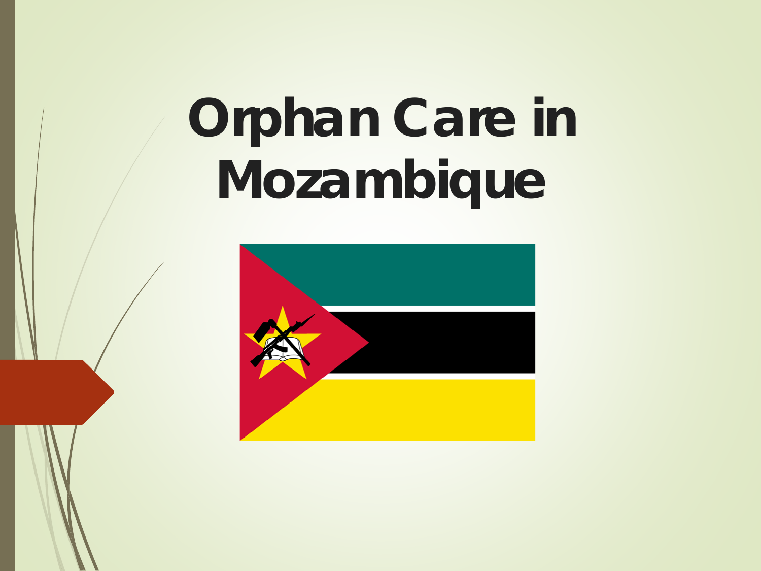# **Orphan Care in Mozambique**

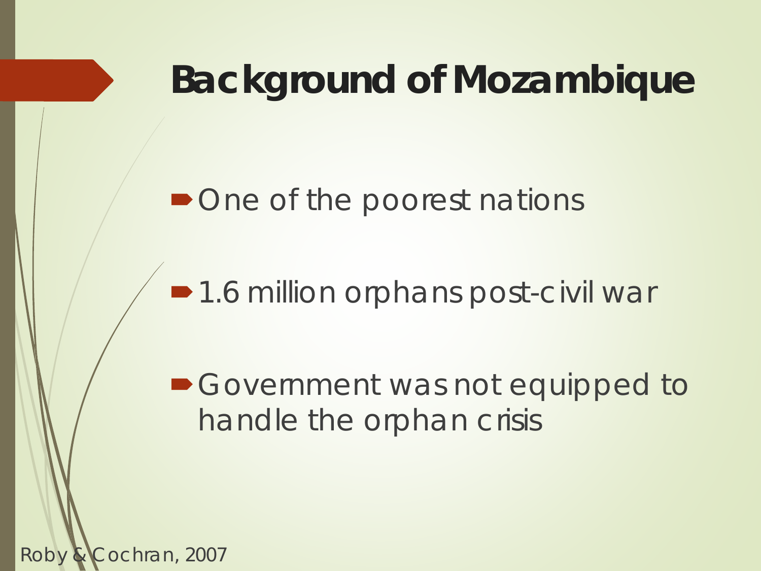### **Background of Mozambique**

#### • One of the poorest nations

■1.6 million orphans post-civil war

Government was not equipped to handle the orphan crisis

Roby & Cochran, 2007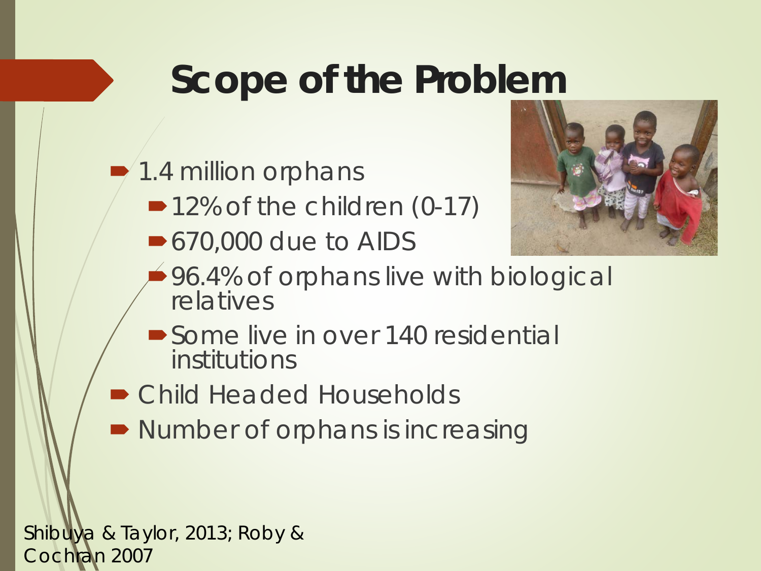### **Scope of the Problem**

1.4 million orphans

- ■12% of the children (0-17)
- 670,000 due to AIDS



- 96.4% of orphans live with biological relatives
- Some live in over 140 residential institutions
- Child Headed Households
- Number of orphans is increasing

Shibuya & Taylor, 2013; Roby & Cochran 2007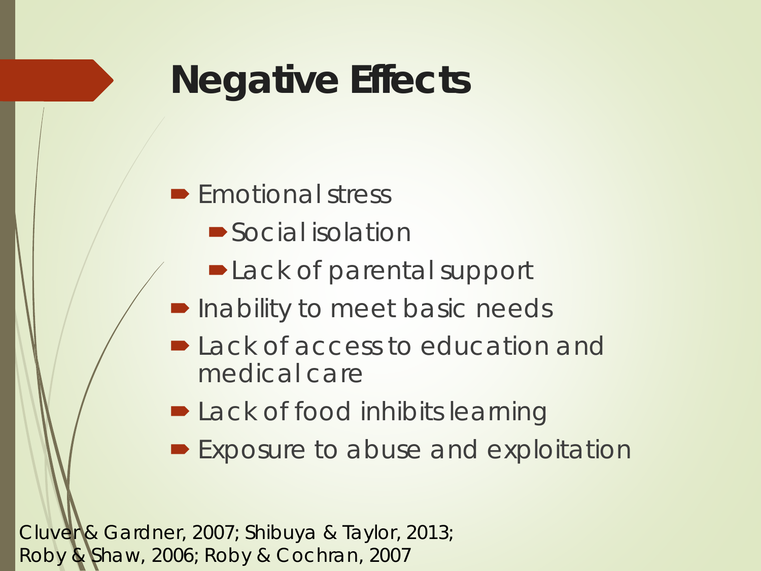## **Negative Effects**

#### $\blacktriangleright$  Emotional stress

- Social isolation
- Lack of parental support
- **Inability to meet basic needs**
- **Lack of access to education and** medical care
- **D** Lack of food inhibits learning
- **Exposure to abuse and exploitation**

Cluver & Gardner, 2007; Shibuya & Taylor, 2013; Roby & Shaw, 2006; Roby & Cochran, 2007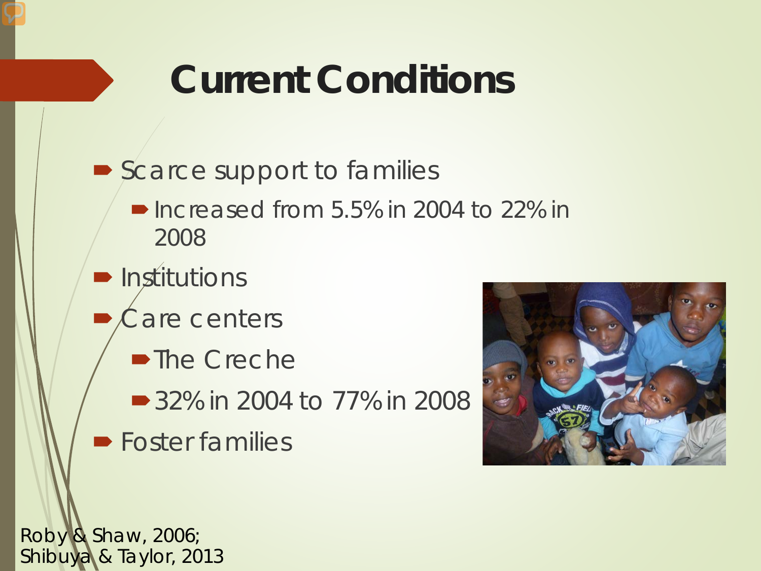## **Current Conditions**

- Scarce support to families  $\blacksquare$  Increased from 5.5% in 2004 to 22% in 2008
- $\blacksquare$  Institutions
- Care centers
	- ■The Creche
	- 32% in 2004 to 77% in 2008
- **Foster families**



Roby & Shaw, 2006; Shibuya & Taylor, 2013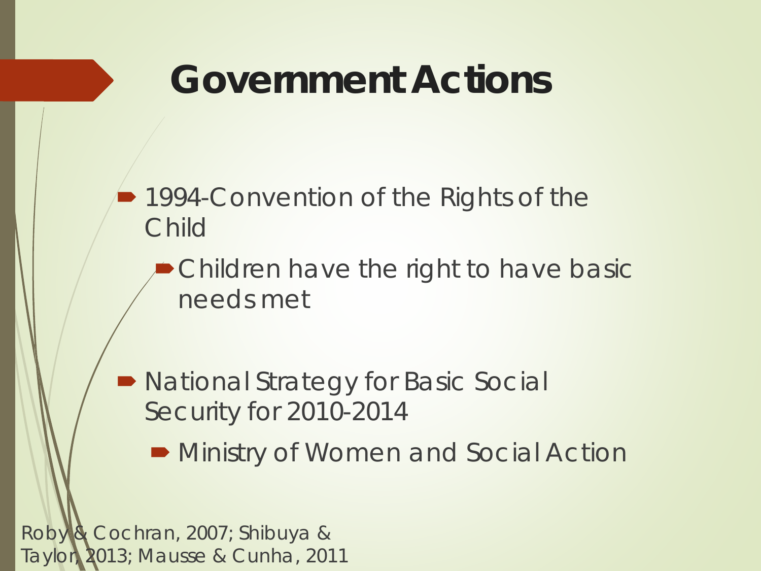#### **Government Actions**

**■ 1994-Convention of the Rights of the** Child

Children have the right to have basic needs met

 National Strategy for Basic Social Security for 2010-2014

**• Ministry of Women and Social Action** 

Roby & Cochran, 2007; Shibuya & Taylor, 2013; Mausse & Cunha, 2011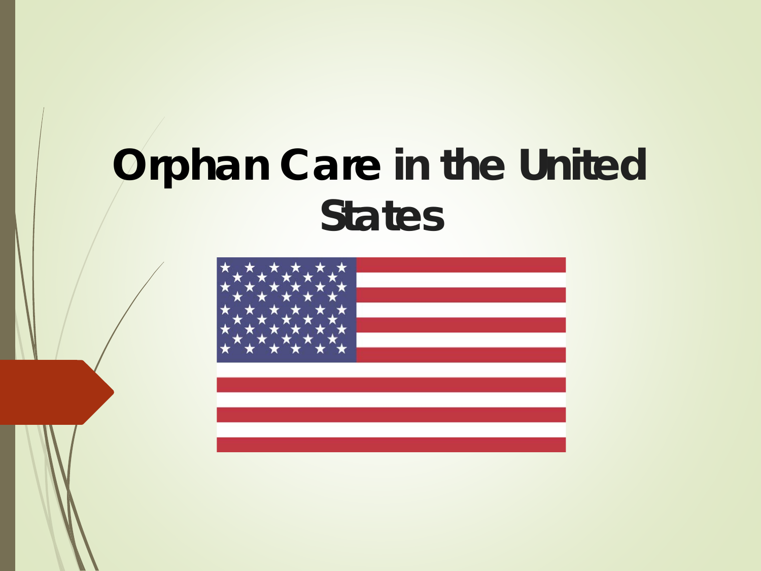## **Orphan Care in the United States**

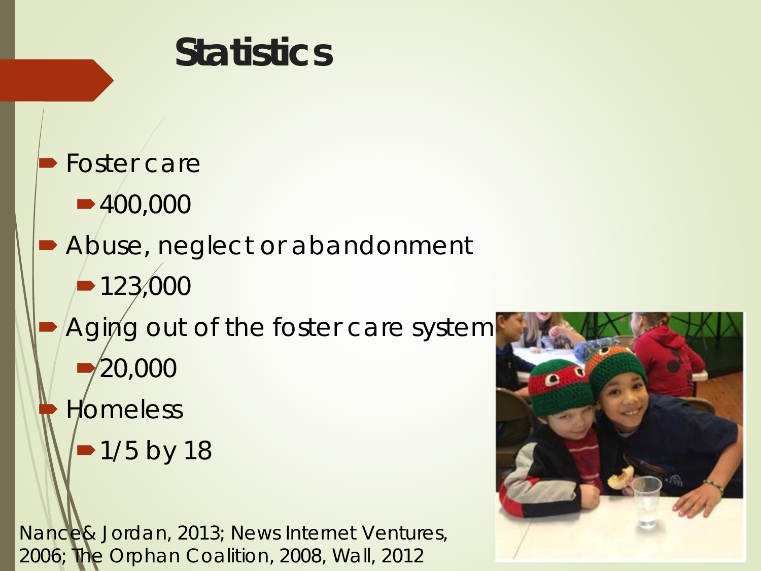# **Statistics**  Foster care ■400,000 Abuse, neglect or abandonment  $-123,000$ Aging out of the foster care system 20,000 **Homeless** • 1/5 by 18

Nance& Jordan, 2013; News Internet Ventures, 2006; The Orphan Coalition, 2008, Wall, 2012

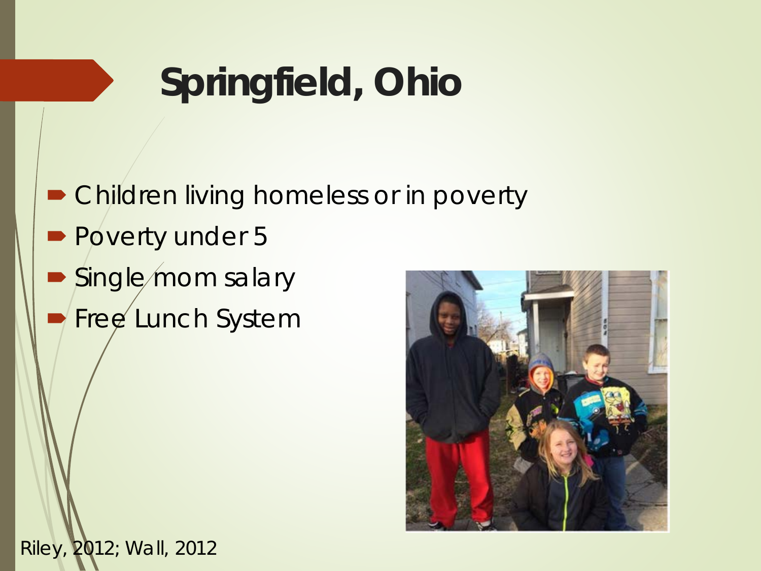## **Springfield, Ohio**

 Children living homeless or in poverty **Poverty under 5** Single mom salary Free Lunch System



Riley, 2012; Wall, 2012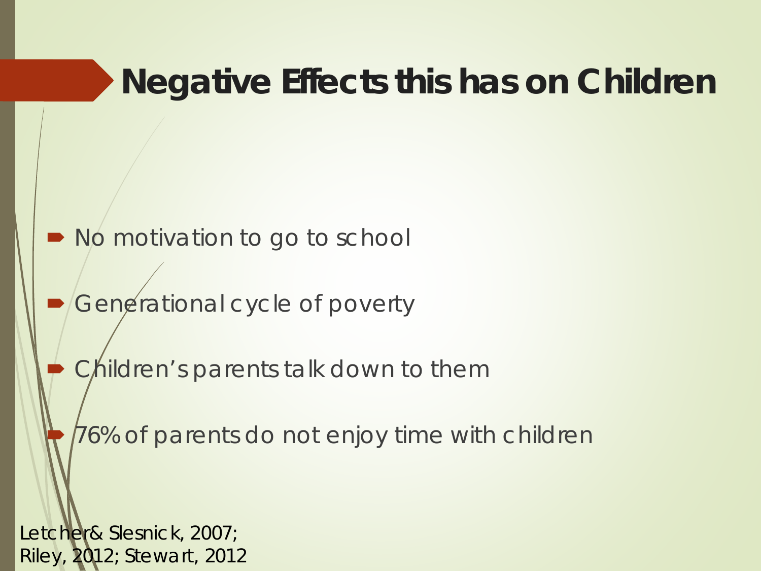#### **Negative Effects this has on Children**

• No motivation to go to school

Generational cycle of poverty

Children's parents talk down to them

76% of parents do not enjoy time with children

Letcher& Slesnick, 2007; Riley, 2012; Stewart, 2012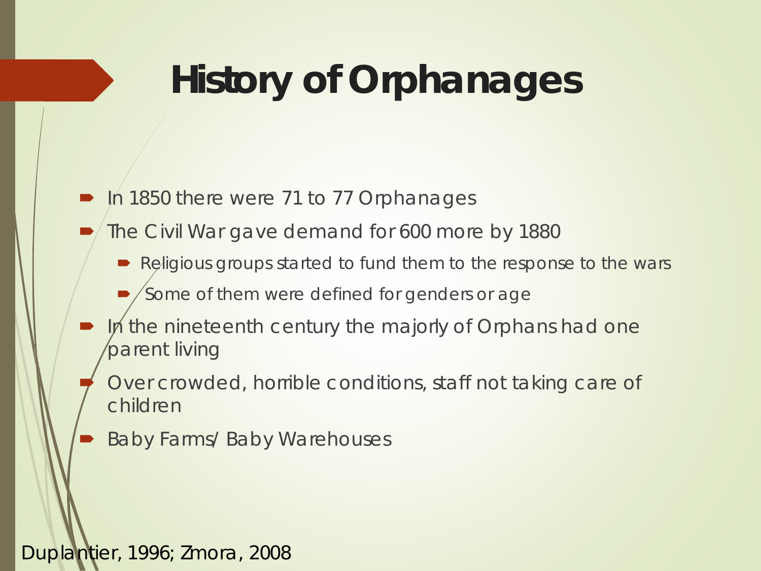## **History of Orphanages**

#### In 1850 there were 71 to 77 Orphanages

- The Civil War gave demand for 600 more by 1880
	- Religious groups started to fund them to the response to the wars

Some of them were defined for genders or age

- In the nineteenth century the majorly of Orphans had one parent living
	- Over crowded, horrible conditions, staff not taking care of children
- Baby Farms/ Baby Warehouses

#### Duplantier, 1996; Zmora, 2008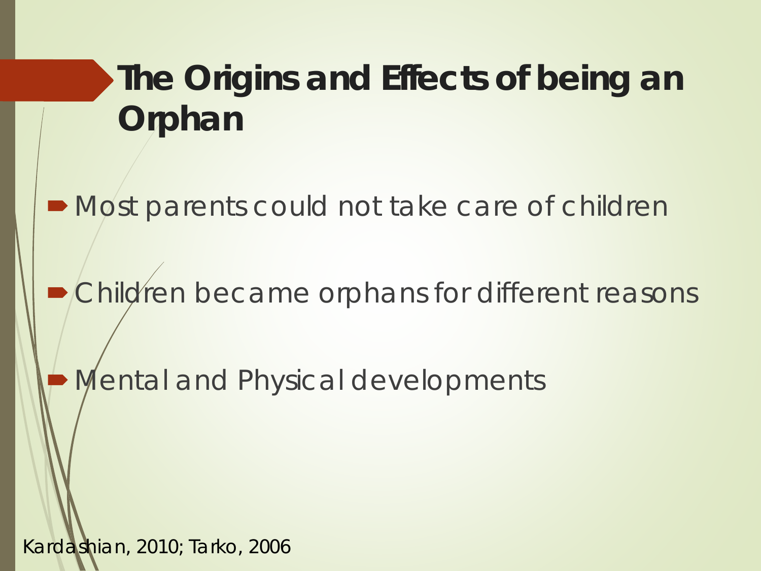#### **The Origins and Effects of being an Orphan**

 $\blacksquare$  Most parents could not take care of children

**• Children became orphans for different reasons** 

Mental and Physical developments

Kardashian, 2010; Tarko, 2006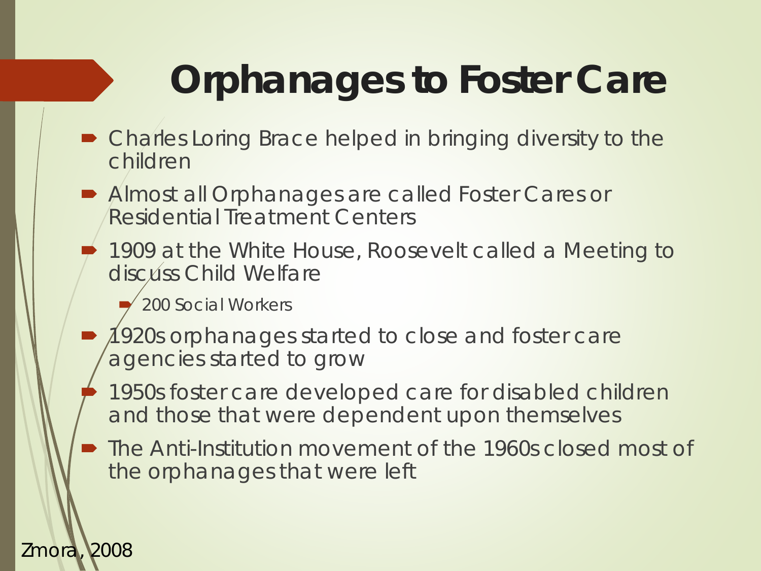## **Orphanages to Foster Care**

- Charles Loring Brace helped in bringing diversity to the children
- Almost all Orphanages are called Foster Cares or Residential Treatment Centers
	- 1909 at the White House, Roosevelt called a Meeting to discuss Child Welfare

200 Social Workers

- 1920s orphanages started to close and foster care agencies started to grow
- 1950s foster care developed care for disabled children and those that were dependent upon themselves
- The Anti-Institution movement of the 1960s closed most of the orphanages that were left

#### Zmora, 2008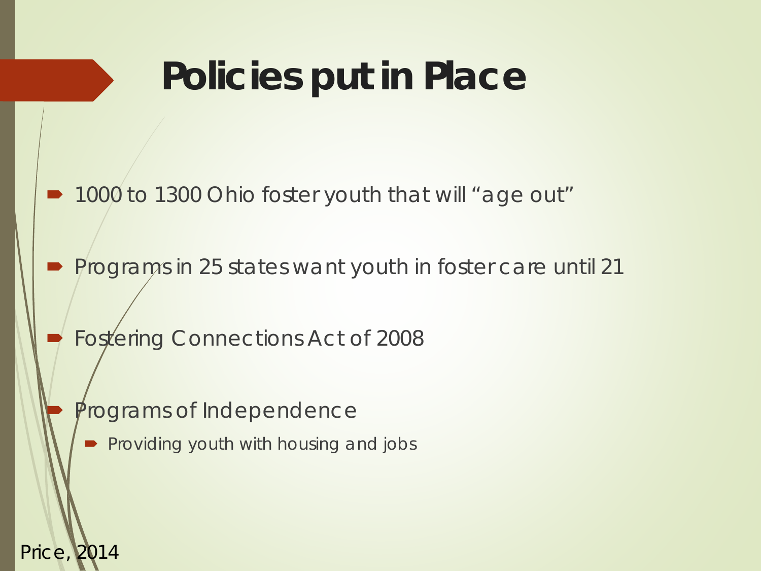## **Policies put in Place**

- 1000 to 1300 Ohio foster youth that will "age out"
- Programs in 25 states want youth in foster care until 21
	- Fostering Connections Act of 2008
		- Programs of Independence

Price, 2014

Providing youth with housing and jobs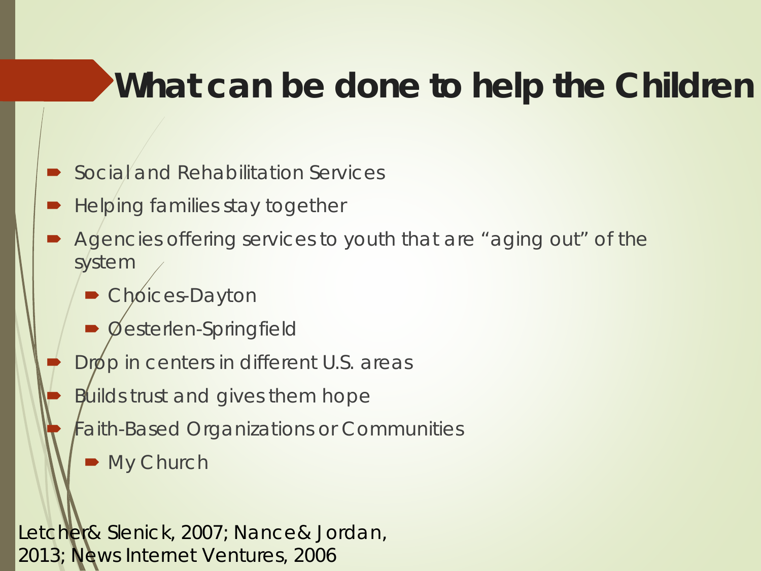#### **What can be done to help the Children**

- Social and Rehabilitation Services
- Helping families stay together
- Agencies offering services to youth that are "aging out" of the system
	- Choices-Dayton
	- Oesterlen-Springfield
	- Drop in centers in different U.S. areas
		- Builds trust and gives them hope
		- Faith-Based Organizations or Communities
			- My Church

Letcher& Slenick, 2007; Nance& Jordan, 2013; News Internet Ventures, 2006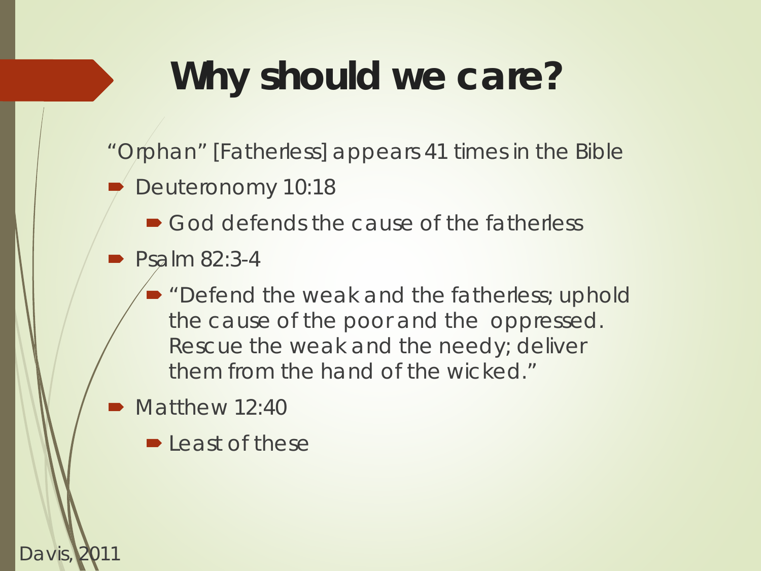## **Why should we care?**

- "Orphan" [Fatherless] appears 41 times in the Bible
- Deuteronomy 10:18
	- God defends the cause of the fatherless
- Psalm 82:3-4
	- **•** "Defend the weak and the fatherless; uphold the cause of the poor and the oppressed. Rescue the weak and the needy; deliver them from the hand of the wicked."
- Matthew 12:40

Davis,

 $\blacktriangleright$  Least of these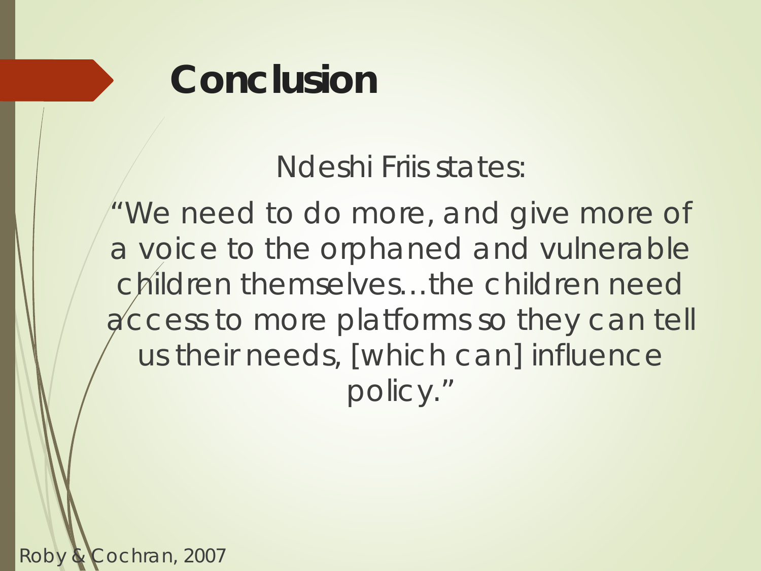### **Conclusion**

Ndeshi Friis states:

"We need to do more, and give more of a voice to the orphaned and vulnerable children themselves...the children need access to more platforms so they can tell us their needs, [which can] influence policy."

Roby & Cochran, 2007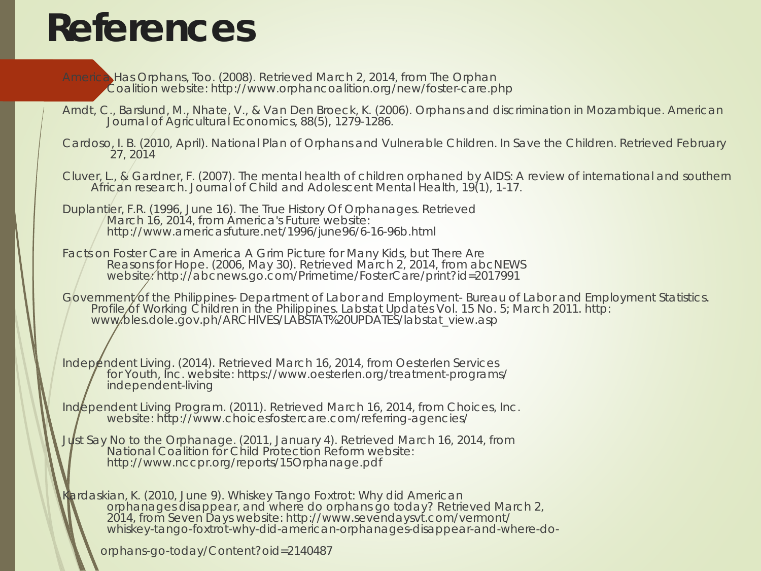### **References**

- America Has Orphans, Too. (2008). Retrieved March 2, 2014, from The Orphan Coalition website: http://www.orphancoalition.org/new/foster-care.php
- Arndt, C., Barslund, M., Nhate, V., & Van Den Broeck, K. (2006). Orphans and discrimination in Mozambique. American Journal of Agricultural Economics, 88(5), 1279-1286.
- Cardoso, I. B. (2010, April). National Plan of Orphans and Vulnerable Children. In Save the Children. Retrieved February 27, 2014
- Cluver, L., & Gardner, F. (2007). The mental health of children orphaned by AIDS: A review of international and southern African research. Journal of Child and Adolescent Mental Health, 19(1), 1-17.
- Duplantier, F.R. (1996, June 16). The True History Of Orphanages. Retrieved March 16, 2014, from America's Future website: http://www.americasfuture.net/1996/june96/6-16-96b.html
- Facts on Foster Care in America A Grim Picture for Many Kids, but There Are<br>Reasons for Hope. (2006, May 30). Retrieved March 2, 2014, from abcNEWS website: http://abcnews.go.com/Primetime/FosterCare/print?id=2017991
- Government/of the Philippines- Department of Labor and Employment- Bureau of Labor and Employment Statistics. Profile of Working Children in the Philippines. Labstat Updates Vol. 15 No. 5; March 2011. http:<br>www.bles.dole.gov.ph/ARCHIVES/LABSTAT%20UPDATES/labstat\_view.asp
- Independent Living. (2014). Retrieved March 16, 2014, from Oesterlen Services for Youth, Inc. website: https://www.oesterlen.org/treatment-programs/ independent-living
- Independent Living Program. (2011). Retrieved March 16, 2014, from Choices, Inc. website: http://www.choicesfostercare.com/referring-agencies/
- *Just Say No to the Orphanage*. (2011, January 4). Retrieved March 16, 2014, from National Coalition for Child Protection Reform website: http://www.nccpr.org/reports/15Orphanage.pdf
- Kardaskian, K. (2010, June 9). Whiskey Tango Foxtrot: Why did American orphanages disappear, and where do orphans go today? Retrieved March 2, 2014, from Seven Days website: http://www.sevendaysvt.com/vermont/ whiskey-tango-foxtrot-why-did-american-orphanages-disappear-and-where-do-

orphans-go-today/Content?oid=2140487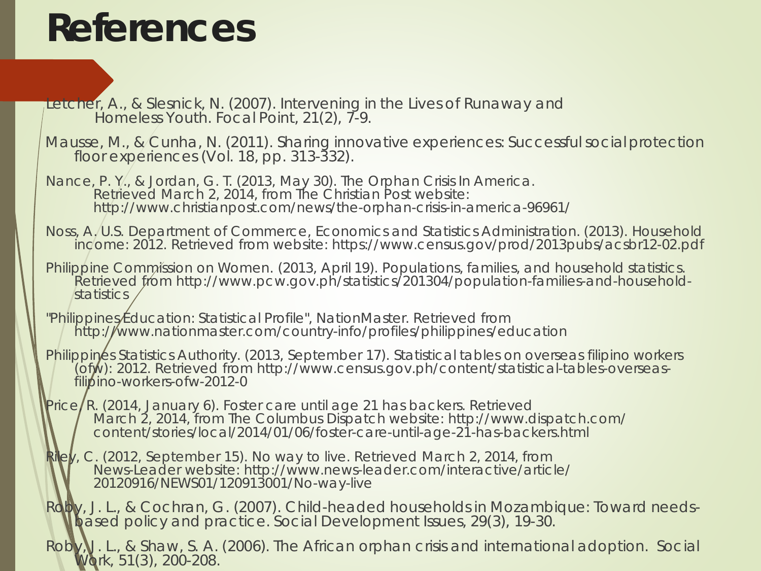### **References**

Letcher, A., & Slesnick, N. (2007). Intervening in the Lives of Runaway and Homeless Youth. *Focal Point*, *21*(2), 7-9.

Mausse, M., & Cunha, N. (2011). Sharing innovative experiences: Successful socialprotection floor experiences (Vol. 18, pp. 313-332).

Nance, P. Y., & Jordan, G. T. (2013, May 30). The Orphan Crisis In America. Retrieved March 2, 2014, from The Christian Post website: http://www.christianpost.com/news/the-orphan-crisis-in-america-96961/

- Noss, A. U.S. Department of Commerce, Economics and Statistics Administration. (2013). Household income: 2012. Retrieved from website: https://www.census.gov/prod/2013pubs/acsbr12-02.pdf
- Philippine Commission on Women. (2013, April 19). Populations, families, and household statistics. Retrieved from http://www.pcw.gov.ph/statistics/201304/population-families-and-household-<br>statistics
- "Philippines Education: Statistical Profile", NationMaster. Retrieved from http://www.nationmaster.com/country-info/profiles/philippines/education
- Philippines Statistics Authority. (2013, September 17). Statistical tables on overseas filipino workers (ofw): 2012. Retrieved from http://www.census.gov.ph/content/statistical-tables-overseas- filipino-workers-ofw-2012-0
- Price/R. (2014, January 6). Foster care until age 21 has backers. Retrieved<br>March 2, 2014, from The Columbus Dispatch website: http://www.dispatch.com/ content/stories/local/2014/01/06/foster-care-until-age-21-has-backers.html
- Riley, C. (2012, September 15). No way to live. Retrieved March 2, 2014, from News-Leader website: http://www.news-leader.com/interactive/article/ 20120916/NEWS01/120913001/No-way-live
- Roby, J. L., & Cochran, G. (2007). Child-headed households in Mozambique: Toward needs- based policy and practice. Social Development Issues, 29(3), 19-30.
- Roby, U. L., & Shaw, S. A. (2006). The African orphan crisis and international adoption. Social Work, 51(3), 200-208.